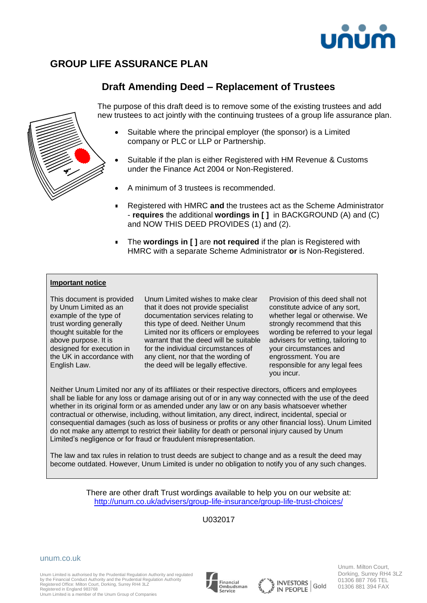

# **GROUP LIFE ASSURANCE PLAN**

## **Draft Amending Deed – Replacement of Trustees**

The purpose of this draft deed is to remove some of the existing trustees and add new trustees to act jointly with the continuing trustees of a group life assurance plan.

- Suitable where the principal employer (the sponsor) is a Limited company or PLC or LLP or Partnership.
- Suitable if the plan is either Registered with HM Revenue & Customs under the Finance Act 2004 or Non-Registered.
- A minimum of 3 trustees is recommended.
- Registered with HMRC **and** the trustees act as the Scheme Administrator  $\blacksquare$ - **requires** the additional **wordings in [ ]** in BACKGROUND (A) and (C) and NOW THIS DEED PROVIDES (1) and (2).
- $\blacksquare$ The **wordings in [ ]** are **not required** if the plan is Registered with HMRC with a separate Scheme Administrator **or** is Non-Registered.

#### **Important notice**

This document is provided by Unum Limited as an example of the type of trust wording generally thought suitable for the above purpose. It is designed for execution in the UK in accordance with English Law.

Unum Limited wishes to make clear that it does not provide specialist documentation services relating to this type of deed. Neither Unum Limited nor its officers or employees warrant that the deed will be suitable for the individual circumstances of any client, nor that the wording of the deed will be legally effective.

Provision of this deed shall not constitute advice of any sort, whether legal or otherwise. We strongly recommend that this wording be referred to your legal advisers for vetting, tailoring to your circumstances and engrossment. You are responsible for any legal fees you incur.

Neither Unum Limited nor any of its affiliates or their respective directors, officers and employees shall be liable for any loss or damage arising out of or in any way connected with the use of the deed whether in its original form or as amended under any law or on any basis whatsoever whether contractual or otherwise, including, without limitation, any direct, indirect, incidental, special or consequential damages (such as loss of business or profits or any other financial loss). Unum Limited do not make any attempt to restrict their liability for death or personal injury caused by Unum Limited's negligence or for fraud or fraudulent misrepresentation.

The law and tax rules in relation to trust deeds are subject to change and as a result the deed may become outdated. However, Unum Limited is under no obligation to notify you of any such changes.

> There are other draft Trust wordings available to help you on our website at: <http://unum.co.uk/advisers/group-life-insurance/group-life-trust-choices/>

> > U032017

unum.co.uk

Unum Limited is authorised by the Prudential Regulation Authority and regulated by the Financial Conduct Authority and the Prudential Regulation Authority Registered Office: Milton Court, Dorking, Surrey RH4 3LZ Registered in England 983768







Unum. Milton Court, Dorking, Surrey RH4 3LZ 01306 887 766 TEL 01306 881 394 FAX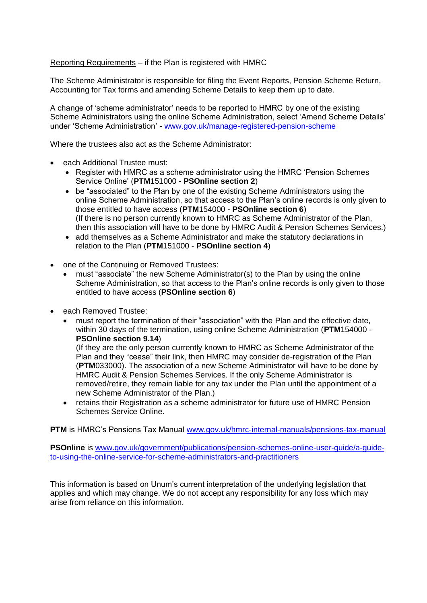Reporting Requirements – if the Plan is registered with HMRC

The Scheme Administrator is responsible for filing the Event Reports, Pension Scheme Return, Accounting for Tax forms and amending Scheme Details to keep them up to date.

A change of 'scheme administrator' needs to be reported to HMRC by one of the existing Scheme Administrators using the online Scheme Administration, select 'Amend Scheme Details' under 'Scheme Administration' - [www.gov.uk/manage-registered-pension-scheme](http://www.gov.uk/manage-registered-pension-scheme)

Where the trustees also act as the Scheme Administrator:

- each Additional Trustee must:
	- Register with HMRC as a scheme administrator using the HMRC 'Pension Schemes Service Online' (**PTM**151000 - **PSOnline section 2**)
	- be "associated" to the Plan by one of the existing Scheme Administrators using the online Scheme Administration, so that access to the Plan's online records is only given to those entitled to have access (**PTM**154000 - **PSOnline section 6**) (If there is no person currently known to HMRC as Scheme Administrator of the Plan, then this association will have to be done by HMRC Audit & Pension Schemes Services.)
	- add themselves as a Scheme Administrator and make the statutory declarations in relation to the Plan (**PTM**151000 - **PSOnline section 4**)
- one of the Continuing or Removed Trustees:
	- must "associate" the new Scheme Administrator(s) to the Plan by using the online Scheme Administration, so that access to the Plan's online records is only given to those entitled to have access (**PSOnline section 6**)
- each Removed Trustee:
	- must report the termination of their "association" with the Plan and the effective date, within 30 days of the termination, using online Scheme Administration (**PTM**154000 - **PSOnline section 9.14**)

(If they are the only person currently known to HMRC as Scheme Administrator of the Plan and they "cease" their link, then HMRC may consider de-registration of the Plan (**PTM**033000). The association of a new Scheme Administrator will have to be done by HMRC Audit & Pension Schemes Services. If the only Scheme Administrator is removed/retire, they remain liable for any tax under the Plan until the appointment of a new Scheme Administrator of the Plan.)

• retains their Registration as a scheme administrator for future use of HMRC Pension Schemes Service Online.

**PTM** is HMRC's Pensions Tax Manual [www.gov.uk/hmrc-internal-manuals/pensions-tax-manual](http://www.gov.uk/hmrc-internal-manuals/pensions-tax-manual)

**PSOnline** is [www.gov.uk/government/publications/pension-schemes-online-user-guide/a-guide](http://www.gov.uk/government/publications/pension-schemes-online-user-guide/a-guide-to-using-the-online-service-for-scheme-administrators-and-practitioners)[to-using-the-online-service-for-scheme-administrators-and-practitioners](http://www.gov.uk/government/publications/pension-schemes-online-user-guide/a-guide-to-using-the-online-service-for-scheme-administrators-and-practitioners)

This information is based on Unum's current interpretation of the underlying legislation that applies and which may change. We do not accept any responsibility for any loss which may arise from reliance on this information.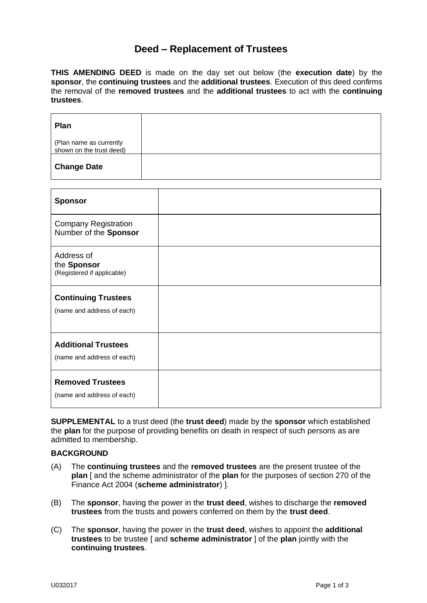## **Deed – Replacement of Trustees**

**THIS AMENDING DEED** is made on the day set out below (the **execution date**) by the **sponsor**, the **continuing trustees** and the **additional trustees**. Execution of this deed confirms the removal of the **removed trustees** and the **additional trustees** to act with the **continuing trustees**.

| <b>Plan</b>                                         |  |
|-----------------------------------------------------|--|
| (Plan name as currently<br>shown on the trust deed) |  |
| <b>Change Date</b>                                  |  |

| <b>Sponsor</b>                                           |  |
|----------------------------------------------------------|--|
| <b>Company Registration</b><br>Number of the Sponsor     |  |
| Address of<br>the Sponsor<br>(Registered if applicable)  |  |
| <b>Continuing Trustees</b><br>(name and address of each) |  |
| <b>Additional Trustees</b><br>(name and address of each) |  |
| <b>Removed Trustees</b><br>(name and address of each)    |  |

**SUPPLEMENTAL** to a trust deed (the **trust deed**) made by the **sponsor** which established the **plan** for the purpose of providing benefits on death in respect of such persons as are admitted to membership.

## **BACKGROUND**

- (A) The **continuing trustees** and the **removed trustees** are the present trustee of the **plan** [ and the scheme administrator of the **plan** for the purposes of section 270 of the Finance Act 2004 (**scheme administrator**) ].
- (B) The **sponsor**, having the power in the **trust deed**, wishes to discharge the **removed trustees** from the trusts and powers conferred on them by the **trust deed**.
- (C) The **sponsor**, having the power in the **trust deed**, wishes to appoint the **additional trustees** to be trustee [ and **scheme administrator** ] of the **plan** jointly with the **continuing trustees**.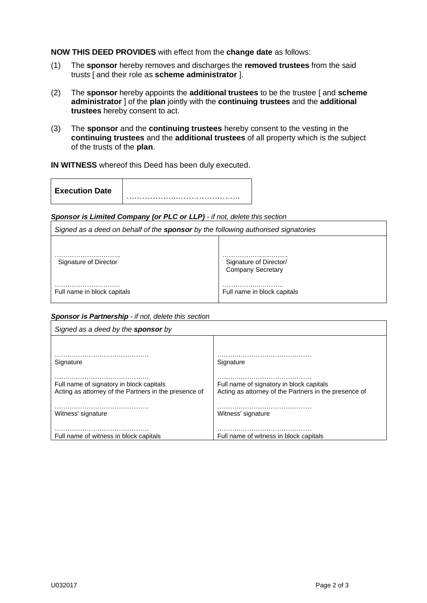**NOW THIS DEED PROVIDES** with effect from the **change date** as follows:

- (1) The **sponsor** hereby removes and discharges the **removed trustees** from the said trusts [ and their role as **scheme administrator** ].
- (2) The **sponsor** hereby appoints the **additional trustees** to be the trustee [ and **scheme administrator** ] of the **plan** jointly with the **continuing trustees** and the **additional trustees** hereby consent to act.
- (3) The **sponsor** and the **continuing trustees** hereby consent to the vesting in the **continuing trustees** and the **additional trustees** of all property which is the subject of the trusts of the **plan**.

### **IN WITNESS** whereof this Deed has been duly executed.

### *Sponsor is Limited Company (or PLC or LLP) - if not, delete this section*

| Signed as a deed on behalf of the <b>sponsor</b> by the following authorised signatories |                                                         |  |
|------------------------------------------------------------------------------------------|---------------------------------------------------------|--|
|                                                                                          |                                                         |  |
| Signature of Director                                                                    | .<br>Signature of Director/<br><b>Company Secretary</b> |  |
| Full name in block capitals                                                              | Full name in block capitals                             |  |

## *Sponsor is Partnership - if not, delete this section*

| Signed as a deed by the <b>sponsor</b> by                                                         |                                                                                                   |
|---------------------------------------------------------------------------------------------------|---------------------------------------------------------------------------------------------------|
|                                                                                                   |                                                                                                   |
| Signature                                                                                         | Signature                                                                                         |
| Full name of signatory in block capitals<br>Acting as attorney of the Partners in the presence of | Full name of signatory in block capitals<br>Acting as attorney of the Partners in the presence of |
| Witness' signature                                                                                | Witness' signature                                                                                |
| Full name of witness in block capitals                                                            | Full name of witness in block capitals                                                            |